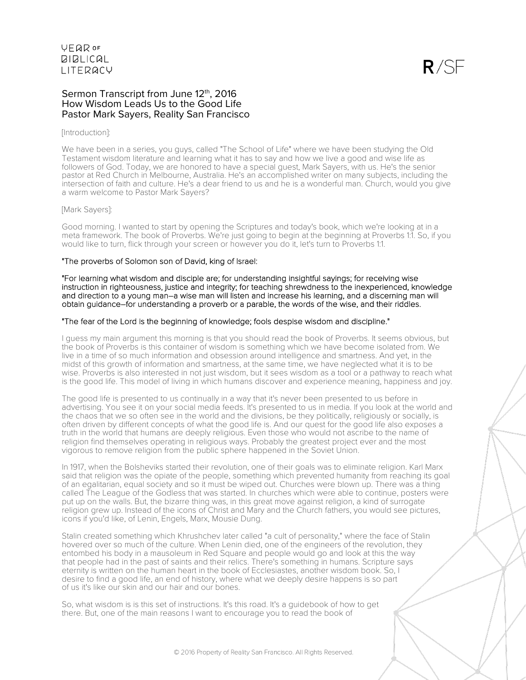$R/SF$ 

## Sermon Transcript from June 12th, 2016 How Wisdom Leads Us to the Good Life Pastor Mark Sayers, Reality San Francisco

## [Introduction]:

We have been in a series, you guys, called "The School of Life" where we have been studying the Old Testament wisdom literature and learning what it has to say and how we live a good and wise life as followers of God. Today, we are honored to have a special guest, Mark Sayers, with us. He's the senior pastor at Red Church in Melbourne, Australia. He's an accomplished writer on many subjects, including the intersection of faith and culture. He's a dear friend to us and he is a wonderful man. Church, would you give a warm welcome to Pastor Mark Sayers?

#### [Mark Sayers]:

Good morning. I wanted to start by opening the Scriptures and today's book, which we're looking at in a meta framework. The book of Proverbs. We're just going to begin at the beginning at Proverbs 1:1. So, if you would like to turn, flick through your screen or however you do it, let's turn to Proverbs 1:1.

## "The proverbs of Solomon son of David, king of Israel:

"For learning what wisdom and disciple are; for understanding insightful sayings; for receiving wise instruction in righteousness, justice and integrity; for teaching shrewdness to the inexperienced, knowledge and direction to a young man–a wise man will listen and increase his learning, and a discerning man will obtain guidance–for understanding a proverb or a parable, the words of the wise, and their riddles.

## "The fear of the Lord is the beginning of knowledge; fools despise wisdom and discipline."

I guess my main argument this morning is that you should read the book of Proverbs. It seems obvious, but the book of Proverbs is this container of wisdom is something which we have become isolated from. We live in a time of so much information and obsession around intelligence and smartness. And yet, in the midst of this growth of information and smartness, at the same time, we have neglected what it is to be wise. Proverbs is also interested in not just wisdom, but it sees wisdom as a tool or a pathway to reach what is the good life. This model of living in which humans discover and experience meaning, happiness and joy.

The good life is presented to us continually in a way that it's never been presented to us before in advertising. You see it on your social media feeds. It's presented to us in media. If you look at the world and the chaos that we so often see in the world and the divisions, be they politically, religiously or socially, is often driven by different concepts of what the good life is. And our quest for the good life also exposes a truth in the world that humans are deeply religious. Even those who would not ascribe to the name of religion find themselves operating in religious ways. Probably the greatest project ever and the most vigorous to remove religion from the public sphere happened in the Soviet Union.

In 1917, when the Bolsheviks started their revolution, one of their goals was to eliminate religion. Karl Marx said that religion was the opiate of the people, something which prevented humanity from reaching its goal of an egalitarian, equal society and so it must be wiped out. Churches were blown up. There was a thing called The League of the Godless that was started. In churches which were able to continue, posters were put up on the walls. But, the bizarre thing was, in this great move against religion, a kind of surrogate religion grew up. Instead of the icons of Christ and Mary and the Church fathers, you would see pictures, icons if you'd like, of Lenin, Engels, Marx, Mousie Dung.

Stalin created something which Khrushchev later called "a cult of personality," where the face of Stalin hovered over so much of the culture. When Lenin died, one of the engineers of the revolution, they entombed his body in a mausoleum in Red Square and people would go and look at this the way that people had in the past of saints and their relics. There's something in humans. Scripture says eternity is written on the human heart in the book of Ecclesiastes, another wisdom book. So, I desire to find a good life, an end of history, where what we deeply desire happens is so part of us it's like our skin and our hair and our bones.

So, what wisdom is is this set of instructions. It's this road. It's a guidebook of how to get there. But, one of the main reasons I want to encourage you to read the book of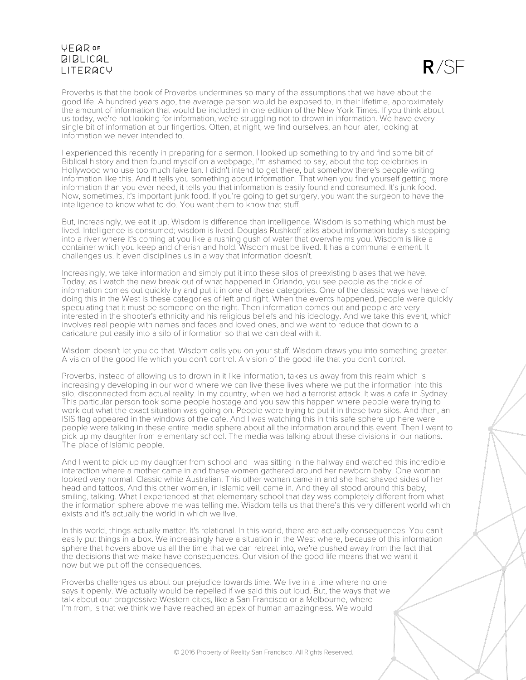## **VFQR OF BIBLICAL** LITERACY



Proverbs is that the book of Proverbs undermines so many of the assumptions that we have about the good life. A hundred years ago, the average person would be exposed to, in their lifetime, approximately the amount of information that would be included in one edition of the New York Times. If you think about us today, we're not looking for information, we're struggling not to drown in information. We have every single bit of information at our fingertips. Often, at night, we find ourselves, an hour later, looking at information we never intended to.

I experienced this recently in preparing for a sermon. I looked up something to try and find some bit of Biblical history and then found myself on a webpage, I'm ashamed to say, about the top celebrities in Hollywood who use too much fake tan. I didn't intend to get there, but somehow there's people writing information like this. And it tells you something about information. That when you find yourself getting more information than you ever need, it tells you that information is easily found and consumed. It's junk food. Now, sometimes, it's important junk food. If you're going to get surgery, you want the surgeon to have the intelligence to know what to do. You want them to know that stuff.

But, increasingly, we eat it up. Wisdom is difference than intelligence. Wisdom is something which must be lived. Intelligence is consumed; wisdom is lived. Douglas Rushkoff talks about information today is stepping into a river where it's coming at you like a rushing gush of water that overwhelms you. Wisdom is like a container which you keep and cherish and hold. Wisdom must be lived. It has a communal element. It challenges us. It even disciplines us in a way that information doesn't.

Increasingly, we take information and simply put it into these silos of preexisting biases that we have. Today, as I watch the new break out of what happened in Orlando, you see people as the trickle of information comes out quickly try and put it in one of these categories. One of the classic ways we have of doing this in the West is these categories of left and right. When the events happened, people were quickly speculating that it must be someone on the right. Then information comes out and people are very interested in the shooter's ethnicity and his religious beliefs and his ideology. And we take this event, which involves real people with names and faces and loved ones, and we want to reduce that down to a caricature put easily into a silo of information so that we can deal with it.

Wisdom doesn't let you do that. Wisdom calls you on your stuff. Wisdom draws you into something greater. A vision of the good life which you don't control. A vision of the good life that you don't control.

Proverbs, instead of allowing us to drown in it like information, takes us away from this realm which is increasingly developing in our world where we can live these lives where we put the information into this silo, disconnected from actual reality. In my country, when we had a terrorist attack. It was a cafe in Sydney. This particular person took some people hostage and you saw this happen where people were trying to work out what the exact situation was going on. People were trying to put it in these two silos. And then, an ISIS flag appeared in the windows of the cafe. And I was watching this in this safe sphere up here were people were talking in these entire media sphere about all the information around this event. Then I went to pick up my daughter from elementary school. The media was talking about these divisions in our nations. The place of Islamic people.

And I went to pick up my daughter from school and I was sitting in the hallway and watched this incredible interaction where a mother came in and these women gathered around her newborn baby. One woman looked very normal. Classic white Australian. This other woman came in and she had shaved sides of her head and tattoos. And this other women, in Islamic veil, came in. And they all stood around this baby, smiling, talking. What I experienced at that elementary school that day was completely different from what the information sphere above me was telling me. Wisdom tells us that there's this very different world which exists and it's actually the world in which we live.

In this world, things actually matter. It's relational. In this world, there are actually consequences. You can't easily put things in a box. We increasingly have a situation in the West where, because of this information sphere that hovers above us all the time that we can retreat into, we're pushed away from the fact that the decisions that we make have consequences. Our vision of the good life means that we want it now but we put off the consequences.

Proverbs challenges us about our prejudice towards time. We live in a time where no one says it openly. We actually would be repelled if we said this out loud. But, the ways that we talk about our progressive Western cities, like a San Francisco or a Melbourne, where I'm from, is that we think we have reached an apex of human amazingness. We would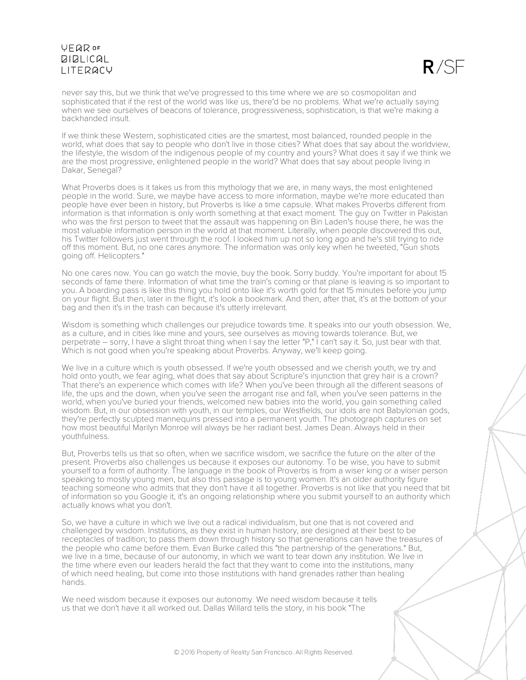## **VFQR OF BIBLICAL LITERACY**



never say this, but we think that we've progressed to this time where we are so cosmopolitan and sophisticated that if the rest of the world was like us, there'd be no problems. What we're actually saying when we see ourselves of beacons of tolerance, progressiveness, sophistication, is that we're making a backhanded insult.

If we think these Western, sophisticated cities are the smartest, most balanced, rounded people in the world, what does that say to people who don't live in those cities? What does that say about the worldview, the lifestyle, the wisdom of the indigenous people of my country and yours? What does it say if we think we are the most progressive, enlightened people in the world? What does that say about people living in Dakar, Senegal?

What Proverbs does is it takes us from this mythology that we are, in many ways, the most enlightened people in the world. Sure, we maybe have access to more information, maybe we're more educated than people have ever been in history, but Proverbs is like a time capsule. What makes Proverbs different from information is that information is only worth something at that exact moment. The guy on Twitter in Pakistan who was the first person to tweet that the assault was happening on Bin Laden's house there, he was the most valuable information person in the world at that moment. Literally, when people discovered this out, his Twitter followers just went through the roof. I looked him up not so long ago and he's still trying to ride off this moment. But, no one cares anymore. The information was only key when he tweeted, "Gun shots going off. Helicopters."

No one cares now. You can go watch the movie, buy the book. Sorry buddy. You're important for about 15 seconds of fame there. Information of what time the train's coming or that plane is leaving is so important to you. A boarding pass is like this thing you hold onto like it's worth gold for that 15 minutes before you jump on your flight. But then, later in the flight, it's look a bookmark. And then, after that, it's at the bottom of your bag and then it's in the trash can because it's utterly irrelevant.

Wisdom is something which challenges our prejudice towards time. It speaks into our youth obsession. We, as a culture, and in cities like mine and yours, see ourselves as moving towards tolerance. But, we perpetrate – sorry, I have a slight throat thing when I say the letter "P," I can't say it. So, just bear with that. Which is not good when you're speaking about Proverbs. Anyway, we'll keep going.

We live in a culture which is youth obsessed. If we're youth obsessed and we cherish youth, we try and hold onto youth, we fear aging, what does that say about Scripture's injunction that grey hair is a crown? That there's an experience which comes with life? When you've been through all the different seasons of life, the ups and the down, when you've seen the arrogant rise and fall, when you've seen patterns in the world, when you've buried your friends, welcomed new babies into the world, you gain something called wisdom. But, in our obsession with youth, in our temples, our Westfields, our idols are not Babylonian gods, they're perfectly sculpted mannequins pressed into a permanent youth. The photograph captures on set how most beautiful Marilyn Monroe will always be her radiant best. James Dean. Always held in their youthfulness.

But, Proverbs tells us that so often, when we sacrifice wisdom, we sacrifice the future on the alter of the present. Proverbs also challenges us because it exposes our autonomy. To be wise, you have to submit yourself to a form of authority. The language in the book of Proverbs is from a wiser king or a wiser person speaking to mostly young men, but also this passage is to young women. It's an older authority figure teaching someone who admits that they don't have it all together. Proverbs is not like that you need that bit of information so you Google it, it's an ongoing relationship where you submit yourself to an authority which actually knows what you don't.

So, we have a culture in which we live out a radical individualism, but one that is not covered and challenged by wisdom. Institutions, as they exist in human history, are designed at their best to be receptacles of tradition; to pass them down through history so that generations can have the treasures of the people who came before them. Evan Burke called this "the partnership of the generations." But, we live in a time, because of our autonomy, in which we want to tear down any institution. We live in the time where even our leaders herald the fact that they want to come into the institutions, many of which need healing, but come into those institutions with hand grenades rather than healing hands.

We need wisdom because it exposes our autonomy. We need wisdom because it tells us that we don't have it all worked out. Dallas Willard tells the story, in his book "The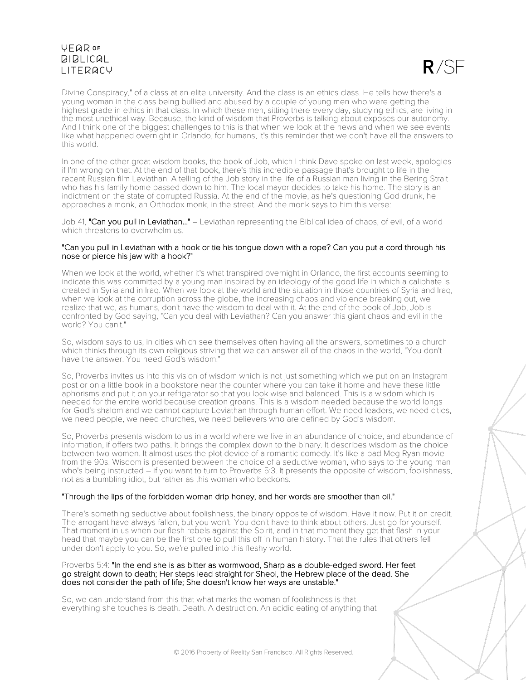# **VFQR OF BIBLICAL LITERACY**



Divine Conspiracy," of a class at an elite university. And the class is an ethics class. He tells how there's a young woman in the class being bullied and abused by a couple of young men who were getting the highest grade in ethics in that class. In which these men, sitting there every day, studying ethics, are living in the most unethical way. Because, the kind of wisdom that Proverbs is talking about exposes our autonomy. And I think one of the biggest challenges to this is that when we look at the news and when we see events like what happened overnight in Orlando, for humans, it's this reminder that we don't have all the answers to this world.

In one of the other great wisdom books, the book of Job, which I think Dave spoke on last week, apologies if I'm wrong on that. At the end of that book, there's this incredible passage that's brought to life in the recent Russian film Leviathan. A telling of the Job story in the life of a Russian man living in the Bering Strait who has his family home passed down to him. The local mayor decides to take his home. The story is an indictment on the state of corrupted Russia. At the end of the movie, as he's questioning God drunk, he approaches a monk, an Orthodox monk, in the street. And the monk says to him this verse:

Job 41, "Can you pull in Leviathan..." – Leviathan representing the Biblical idea of chaos, of evil, of a world which threatens to overwhelm us.

## "Can you pull in Leviathan with a hook or tie his tongue down with a rope? Can you put a cord through his nose or pierce his jaw with a hook?"

When we look at the world, whether it's what transpired overnight in Orlando, the first accounts seeming to indicate this was committed by a young man inspired by an ideology of the good life in which a caliphate is created in Syria and in Iraq. When we look at the world and the situation in those countries of Syria and Iraq, when we look at the corruption across the globe, the increasing chaos and violence breaking out, we realize that we, as humans, don't have the wisdom to deal with it. At the end of the book of Job, Job is confronted by God saying, "Can you deal with Leviathan? Can you answer this giant chaos and evil in the world? You can't."

So, wisdom says to us, in cities which see themselves often having all the answers, sometimes to a church which thinks through its own religious striving that we can answer all of the chaos in the world, "You don't have the answer. You need God's wisdom."

So, Proverbs invites us into this vision of wisdom which is not just something which we put on an Instagram post or on a little book in a bookstore near the counter where you can take it home and have these little aphorisms and put it on your refrigerator so that you look wise and balanced. This is a wisdom which is needed for the entire world because creation groans. This is a wisdom needed because the world longs for God's shalom and we cannot capture Leviathan through human effort. We need leaders, we need cities, we need people, we need churches, we need believers who are defined by God's wisdom.

So, Proverbs presents wisdom to us in a world where we live in an abundance of choice, and abundance of information, if offers two paths. It brings the complex down to the binary. It describes wisdom as the choice between two women. It almost uses the plot device of a romantic comedy. It's like a bad Meg Ryan movie from the 90s. Wisdom is presented between the choice of a seductive woman, who says to the young man who's being instructed – if you want to turn to Proverbs 5:3. It presents the opposite of wisdom, foolishness, not as a bumbling idiot, but rather as this woman who beckons.

## "Through the lips of the forbidden woman drip honey, and her words are smoother than oil."

There's something seductive about foolishness, the binary opposite of wisdom. Have it now. Put it on credit. The arrogant have always fallen, but you won't. You don't have to think about others. Just go for yourself. That moment in us when our flesh rebels against the Spirit, and in that moment they get that flash in your head that maybe you can be the first one to pull this off in human history. That the rules that others fell under don't apply to you. So, we're pulled into this fleshy world.

#### Proverbs 5:4: "In the end she is as bitter as wormwood, Sharp as a double-edged sword. Her feet go straight down to death; Her steps lead straight for Sheol, the Hebrew place of the dead. She does not consider the path of life; She doesn't know her ways are unstable."

So, we can understand from this that what marks the woman of foolishness is that everything she touches is death. Death. A destruction. An acidic eating of anything that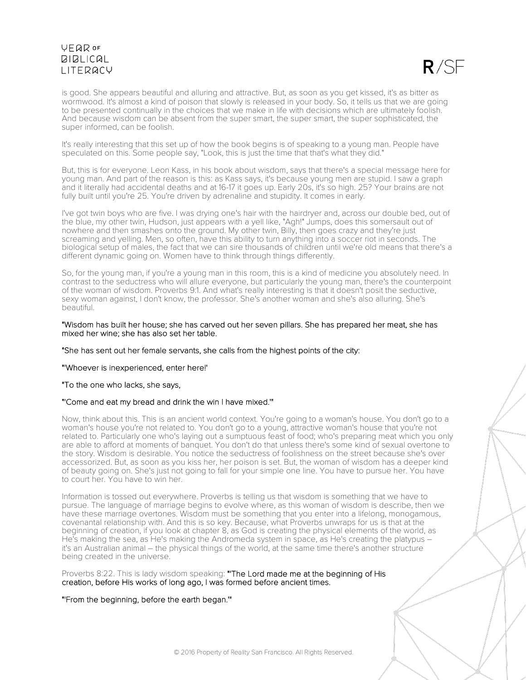## **VEQR OF BIBLICAL LITERACY**



is good. She appears beautiful and alluring and attractive. But, as soon as you get kissed, it's as bitter as wormwood. It's almost a kind of poison that slowly is released in your body. So, it tells us that we are going to be presented continually in the choices that we make in life with decisions which are ultimately foolish. And because wisdom can be absent from the super smart, the super smart, the super sophisticated, the super informed, can be foolish.

It's really interesting that this set up of how the book begins is of speaking to a young man. People have speculated on this. Some people say, "Look, this is just the time that that's what they did."

But, this is for everyone. Leon Kass, in his book about wisdom, says that there's a special message here for young man. And part of the reason is this: as Kass says, it's because young men are stupid. I saw a graph and it literally had accidental deaths and at 16-17 it goes up. Early 20s, it's so high. 25? Your brains are not fully built until you're 25. You're driven by adrenaline and stupidity. It comes in early.

I've got twin boys who are five. I was drying one's hair with the hairdryer and, across our double bed, out of the blue, my other twin, Hudson, just appears with a yell like, "Agh!" Jumps, does this somersault out of nowhere and then smashes onto the ground. My other twin, Billy, then goes crazy and they're just screaming and yelling. Men, so often, have this ability to turn anything into a soccer riot in seconds. The biological setup of males, the fact that we can sire thousands of children until we're old means that there's a different dynamic going on. Women have to think through things differently.

So, for the young man, if you're a young man in this room, this is a kind of medicine you absolutely need. In contrast to the seductress who will allure everyone, but particularly the young man, there's the counterpoint of the woman of wisdom. Proverbs 9:1. And what's really interesting is that it doesn't posit the seductive, sexy woman against, I don't know, the professor. She's another woman and she's also alluring. She's beautiful.

#### "Wisdom has built her house; she has carved out her seven pillars. She has prepared her meat, she has mixed her wine; she has also set her table.

#### "She has sent out her female servants, she calls from the highest points of the city:

## "'Whoever is inexperienced, enter here!'

## "To the one who lacks, she says,

## "'Come and eat my bread and drink the win I have mixed.'"

Now, think about this. This is an ancient world context. You're going to a woman's house. You don't go to a woman's house you're not related to. You don't go to a young, attractive woman's house that you're not related to. Particularly one who's laying out a sumptuous feast of food; who's preparing meat which you only are able to afford at moments of banquet. You don't do that unless there's some kind of sexual overtone to the story. Wisdom is desirable. You notice the seductress of foolishness on the street because she's over accessorized. But, as soon as you kiss her, her poison is set. But, the woman of wisdom has a deeper kind of beauty going on. She's just not going to fall for your simple one line. You have to pursue her. You have to court her. You have to win her.

Information is tossed out everywhere. Proverbs is telling us that wisdom is something that we have to pursue. The language of marriage begins to evolve where, as this woman of wisdom is describe, then we have these marriage overtones. Wisdom must be something that you enter into a lifelong, monogamous, covenantal relationship with. And this is so key. Because, what Proverbs unwraps for us is that at the beginning of creation, if you look at chapter 8, as God is creating the physical elements of the world, as He's making the sea, as He's making the Andromeda system in space, as He's creating the platypus – it's an Australian animal – the physical things of the world, at the same time there's another structure being created in the universe.

Proverbs 8:22. This is lady wisdom speaking: "The Lord made me at the beginning of His creation, before His works of long ago, I was formed before ancient times.

## "'From the beginning, before the earth began.'"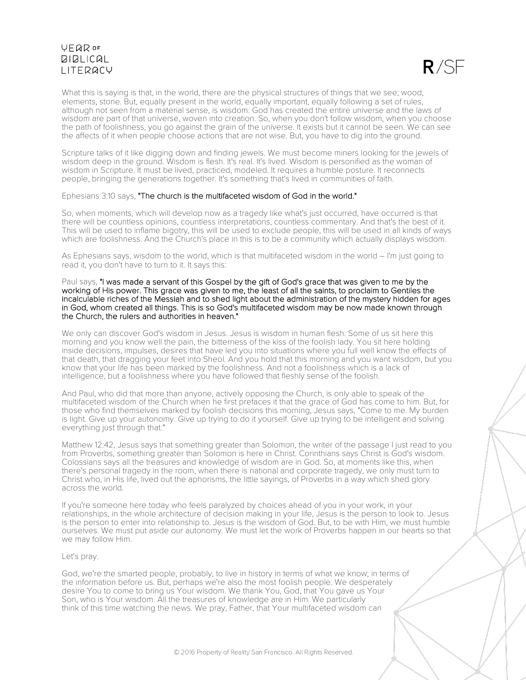# **VEQR OF BIBLICAL** LITERACY



What this is saying is that, in the world, there are the physical structures of things that we see; wood, elements, stone. But, equally present in the world, equally important, equally following a set of rules, although not seen from a material sense, is wisdom. God has created the entire universe and the laws of wisdom are part of that universe, woven into creation. So, when you don't follow wisdom, when you choose the path of foolishness, you go against the grain of the universe. It exists but it cannot be seen. We can see the affects of it when people choose actions that are not wise. But, you have to dig into the ground.

Scripture talks of it like digging down and finding jewels. We must become miners looking for the jewels of wisdom deep in the ground. Wisdom is flesh. It's real. It's lived. Wisdom is personified as the woman of wisdom in Scripture. It must be lived, practiced, modeled. It requires a humble posture. It reconnects people, bringing the generations together. It's something that's lived in communities of faith.

## Ephesians 3:10 says, "The church is the multifaceted wisdom of God in the world."

So, when moments, which will develop now as a tragedy like what's just occurred, have occurred is that there will be countless opinions, countless interpretations, countless commentary. And that's the best of it. This will be used to inflame bigotry, this will be used to exclude people, this will be used in all kinds of ways which are foolishness. And the Church's place in this is to be a community which actually displays wisdom.

As Ephesians says, wisdom to the world, which is that multifaceted wisdom in the world – I'm just going to read it, you don't have to turn to it. It says this:

#### Paul says, "I was made a servant of this Gospel by the gift of God's grace that was given to me by the working of His power. This grace was given to me, the least of all the saints, to proclaim to Gentiles the incalculable riches of the Messiah and to shed light about the administration of the mystery hidden for ages in God, whom created all things. This is so God's multifaceted wisdom may be now made known through the Church, the rulers and authorities in heaven."

We only can discover God's wisdom in Jesus. Jesus is wisdom in human flesh. Some of us sit here this morning and you know well the pain, the bitterness of the kiss of the foolish lady. You sit here holding inside decisions, impulses, desires that have led you into situations where you full well know the effects of that death, that dragging your feet into Sheol. And you hold that this morning and you want wisdom, but you know that your life has been marked by the foolishness. And not a foolishness which is a lack of intelligence, but a foolishness where you have followed that fleshly sense of the foolish.

And Paul, who did that more than anyone, actively opposing the Church, is only able to speak of the multifaceted wisdom of the Church when he first prefaces it that the grace of God has come to him. But, for those who find themselves marked by foolish decisions this morning, Jesus says, "Come to me. My burden is light. Give up your autonomy. Give up trying to do it yourself. Give up trying to be intelligent and solving everything just through that."

Matthew 12:42, Jesus says that something greater than Solomon, the writer of the passage I just read to you from Proverbs, something greater than Solomon is here in Christ. Corinthians says Christ is God's wisdom. Colossians says all the treasures and knowledge of wisdom are in God. So, at moments like this, when there's personal tragedy in the room, when there is national and corporate tragedy, we only must turn to Christ who, in His life, lived out the aphorisms, the little sayings, of Proverbs in a way which shed glory across the world.

If you're someone here today who feels paralyzed by choices ahead of you in your work, in your relationships, in the whole architecture of decision making in your life, Jesus is the person to look to. Jesus is the person to enter into relationship to. Jesus is the wisdom of God. But, to be with Him, we must humble ourselves. We must put aside our autonomy. We must let the work of Proverbs happen in our hearts so that we may follow Him.

## Let's pray.

God, we're the smarted people, probably, to live in history in terms of what we know; in terms of the information before us. But, perhaps we're also the most foolish people. We desperately desire You to come to bring us Your wisdom. We thank You, God, that You gave us Your Son, who is Your wisdom. All the treasures of knowledge are in Him. We particularly think of this time watching the news. We pray, Father, that Your multifaceted wisdom can